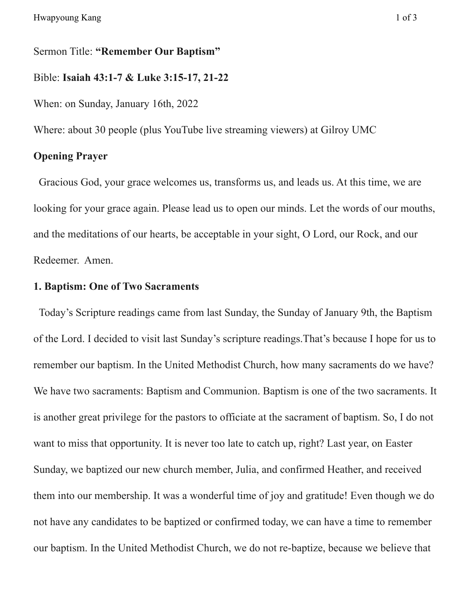Sermon Title: **"Remember Our Baptism"**

Bible: **Isaiah 43:1-7 & Luke 3:15-17, 21-22**

When: on Sunday, January 16th, 2022

Where: about 30 people (plus YouTube live streaming viewers) at Gilroy UMC

## **Opening Prayer**

Gracious God, your grace welcomes us, transforms us, and leads us. At this time, we are looking for your grace again. Please lead us to open our minds. Let the words of our mouths, and the meditations of our hearts, be acceptable in your sight, O Lord, our Rock, and our Redeemer. Amen.

## **1. Baptism: One of Two Sacraments**

Today's Scripture readings came from last Sunday, the Sunday of January 9th, the Baptism of the Lord. I decided to visit last Sunday's scripture readings.That's because I hope for us to remember our baptism. In the United Methodist Church, how many sacraments do we have? We have two sacraments: Baptism and Communion. Baptism is one of the two sacraments. It is another great privilege for the pastors to officiate at the sacrament of baptism. So, I do not want to miss that opportunity. It is never too late to catch up, right? Last year, on Easter Sunday, we baptized our new church member, Julia, and confirmed Heather, and received them into our membership. It was a wonderful time of joy and gratitude! Even though we do not have any candidates to be baptized or confirmed today, we can have a time to remember our baptism. In the United Methodist Church, we do not re-baptize, because we believe that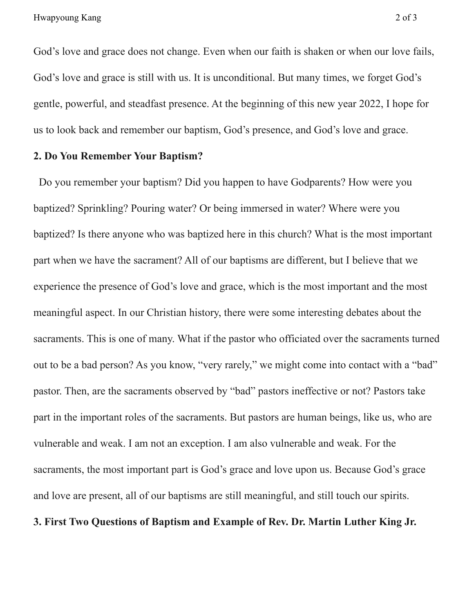God's love and grace does not change. Even when our faith is shaken or when our love fails, God's love and grace is still with us. It is unconditional. But many times, we forget God's gentle, powerful, and steadfast presence. At the beginning of this new year 2022, I hope for us to look back and remember our baptism, God's presence, and God's love and grace.

## **2. Do You Remember Your Baptism?**

Do you remember your baptism? Did you happen to have Godparents? How were you baptized? Sprinkling? Pouring water? Or being immersed in water? Where were you baptized? Is there anyone who was baptized here in this church? What is the most important part when we have the sacrament? All of our baptisms are different, but I believe that we experience the presence of God's love and grace, which is the most important and the most meaningful aspect. In our Christian history, there were some interesting debates about the sacraments. This is one of many. What if the pastor who officiated over the sacraments turned out to be a bad person? As you know, "very rarely," we might come into contact with a "bad" pastor. Then, are the sacraments observed by "bad" pastors ineffective or not? Pastors take part in the important roles of the sacraments. But pastors are human beings, like us, who are vulnerable and weak. I am not an exception. I am also vulnerable and weak. For the sacraments, the most important part is God's grace and love upon us. Because God's grace and love are present, all of our baptisms are still meaningful, and still touch our spirits. **3. First Two Questions of Baptism and Example of Rev. Dr. Martin Luther King Jr.**